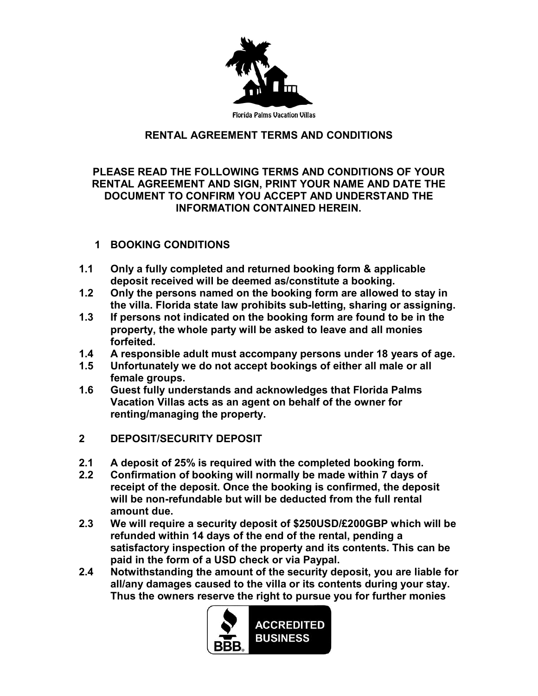

## **RENTAL AGREEMENT TERMS AND CONDITIONS**

### **PLEASE READ THE FOLLOWING TERMS AND CONDITIONS OF YOUR RENTAL AGREEMENT AND SIGN, PRINT YOUR NAME AND DATE THE DOCUMENT TO CONFIRM YOU ACCEPT AND UNDERSTAND THE INFORMATION CONTAINED HEREIN.**

### **1 BOOKING CONDITIONS**

- **1.1 Only a fully completed and returned booking form & applicable deposit received will be deemed as/constitute a booking.**
- **1.2 Only the persons named on the booking form are allowed to stay in the villa. Florida state law prohibits sub-letting, sharing or assigning.**
- **1.3 If persons not indicated on the booking form are found to be in the property, the whole party will be asked to leave and all monies forfeited.**
- **1.4 A responsible adult must accompany persons under 18 years of age.**
- **1.5 Unfortunately we do not accept bookings of either all male or all female groups.**
- **1.6 Guest fully understands and acknowledges that Florida Palms Vacation Villas acts as an agent on behalf of the owner for renting/managing the property.**
- **2 DEPOSIT/SECURITY DEPOSIT**
- **2.1 A deposit of 25% is required with the completed booking form.**
- **2.2 Confirmation of booking will normally be made within 7 days of receipt of the deposit. Once the booking is confirmed, the deposit will be non-refundable but will be deducted from the full rental amount due.**
- **2.3 We will require a security deposit of \$250USD/£200GBP which will be refunded within 14 days of the end of the rental, pending a satisfactory inspection of the property and its contents. This can be paid in the form of a USD check or via Paypal.**
- **2.4 Notwithstanding the amount of the security deposit, you are liable for all/any damages caused to the villa or its contents during your stay. Thus the owners reserve the right to pursue you for further monies**

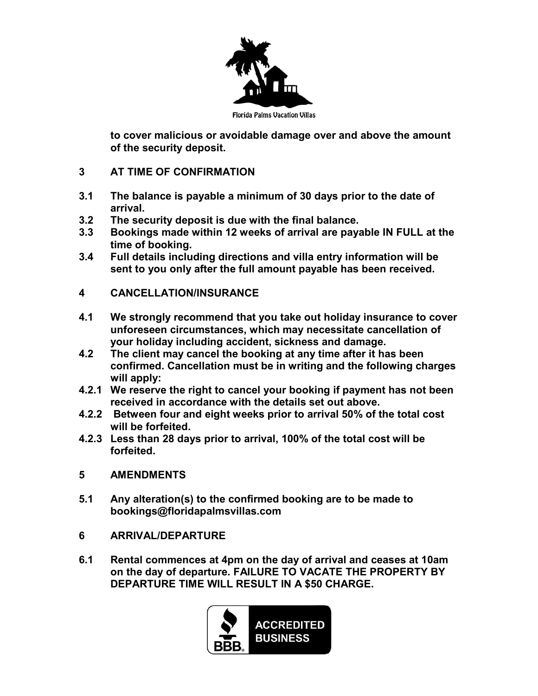

**to cover malicious or avoidable damage over and above the amount of the security deposit.**

- **3 AT TIME OF CONFIRMATION**
- **3.1 The balance is payable a minimum of 30 days prior to the date of arrival.**
- **3.2 The security deposit is due with the final balance.**
- **3.3 Bookings made within 12 weeks of arrival are payable IN FULL at the time of booking.**
- **3.4 Full details including directions and villa entry information will be sent to you only after the full amount payable has been received.**
- **4 CANCELLATION/INSURANCE**
- **4.1 We strongly recommend that you take out holiday insurance to cover unforeseen circumstances, which may necessitate cancellation of your holiday including accident, sickness and damage.**
- **4.2 The client may cancel the booking at any time after it has been confirmed. Cancellation must be in writing and the following charges will apply:**
- **4.2.1 We reserve the right to cancel your booking if payment has not been received in accordance with the details set out above.**
- **4.2.2 Between four and eight weeks prior to arrival 50% of the total cost will be forfeited.**
- **4.2.3 Less than 28 days prior to arrival, 100% of the total cost will be forfeited.**

#### **5 AMENDMENTS**

- **5.1 Any alteration(s) to the confirmed booking are to be made to bookings@floridapalmsvillas.com**
- **6 ARRIVAL/DEPARTURE**
- **6.1 Rental commences at 4pm on the day of arrival and ceases at 10am on the day of departure. FAILURE TO VACATE THE PROPERTY BY DEPARTURE TIME WILL RESULT IN A \$50 CHARGE.**

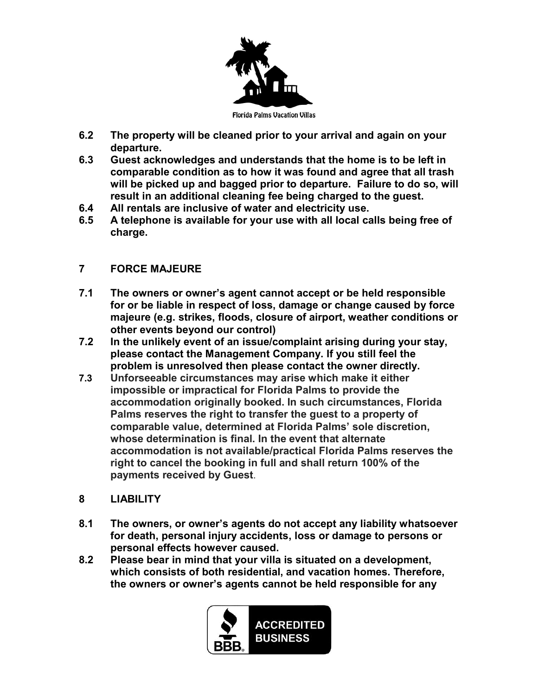

- **6.2 The property will be cleaned prior to your arrival and again on your departure.**
- **6.3 Guest acknowledges and understands that the home is to be left in comparable condition as to how it was found and agree that all trash will be picked up and bagged prior to departure. Failure to do so, will result in an additional cleaning fee being charged to the guest.**
- **6.4 All rentals are inclusive of water and electricity use.**
- **6.5 A telephone is available for your use with all local calls being free of charge.**

# **7 FORCE MAJEURE**

- **7.1 The owners or owner's agent cannot accept or be held responsible for or be liable in respect of loss, damage or change caused by force majeure (e.g. strikes, floods, closure of airport, weather conditions or other events beyond our control)**
- **7.2 In the unlikely event of an issue/complaint arising during your stay, please contact the Management Company. If you still feel the problem is unresolved then please contact the owner directly.**
- **7.3 Unforseeable circumstances may arise which make it either impossible or impractical for Florida Palms to provide the accommodation originally booked. In such circumstances, Florida Palms reserves the right to transfer the guest to a property of comparable value, determined at Florida Palms' sole discretion, whose determination is final. In the event that alternate accommodation is not available/practical Florida Palms reserves the right to cancel the booking in full and shall return 100% of the payments received by Guest**.
- **8 LIABILITY**
- **8.1 The owners, or owner's agents do not accept any liability whatsoever for death, personal injury accidents, loss or damage to persons or personal effects however caused.**
- **8.2 Please bear in mind that your villa is situated on a development, which consists of both residential, and vacation homes. Therefore, the owners or owner's agents cannot be held responsible for any**

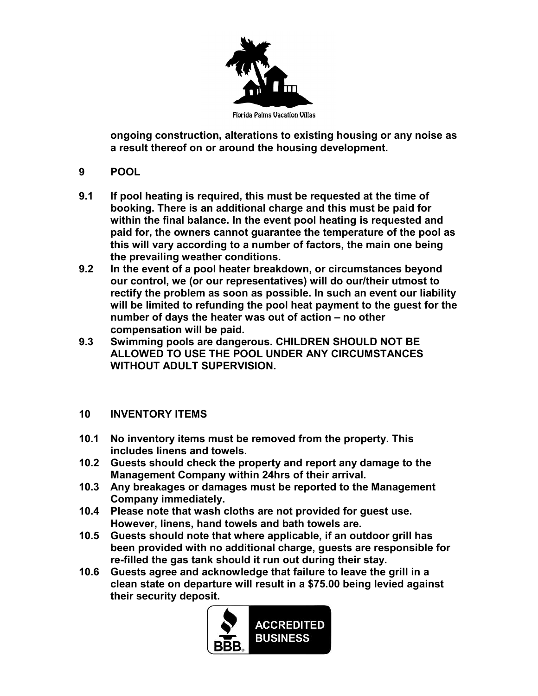

**ongoing construction, alterations to existing housing or any noise as a result thereof on or around the housing development.**

- **9 POOL**
- **9.1 If pool heating is required, this must be requested at the time of booking. There is an additional charge and this must be paid for within the final balance. In the event pool heating is requested and paid for, the owners cannot guarantee the temperature of the pool as this will vary according to a number of factors, the main one being the prevailing weather conditions.**
- **9.2 In the event of a pool heater breakdown, or circumstances beyond our control, we (or our representatives) will do our/their utmost to rectify the problem as soon as possible. In such an event our liability will be limited to refunding the pool heat payment to the guest for the number of days the heater was out of action – no other compensation will be paid.**
- **9.3 Swimming pools are dangerous. CHILDREN SHOULD NOT BE ALLOWED TO USE THE POOL UNDER ANY CIRCUMSTANCES WITHOUT ADULT SUPERVISION.**

# **10 INVENTORY ITEMS**

- **10.1 No inventory items must be removed from the property. This includes linens and towels.**
- **10.2 Guests should check the property and report any damage to the Management Company within 24hrs of their arrival.**
- **10.3 Any breakages or damages must be reported to the Management Company immediately.**
- **10.4 Please note that wash cloths are not provided for guest use. However, linens, hand towels and bath towels are.**
- **10.5 Guests should note that where applicable, if an outdoor grill has been provided with no additional charge, guests are responsible for re-filled the gas tank should it run out during their stay.**
- **10.6 Guests agree and acknowledge that failure to leave the grill in a clean state on departure will result in a \$75.00 being levied against their security deposit.**